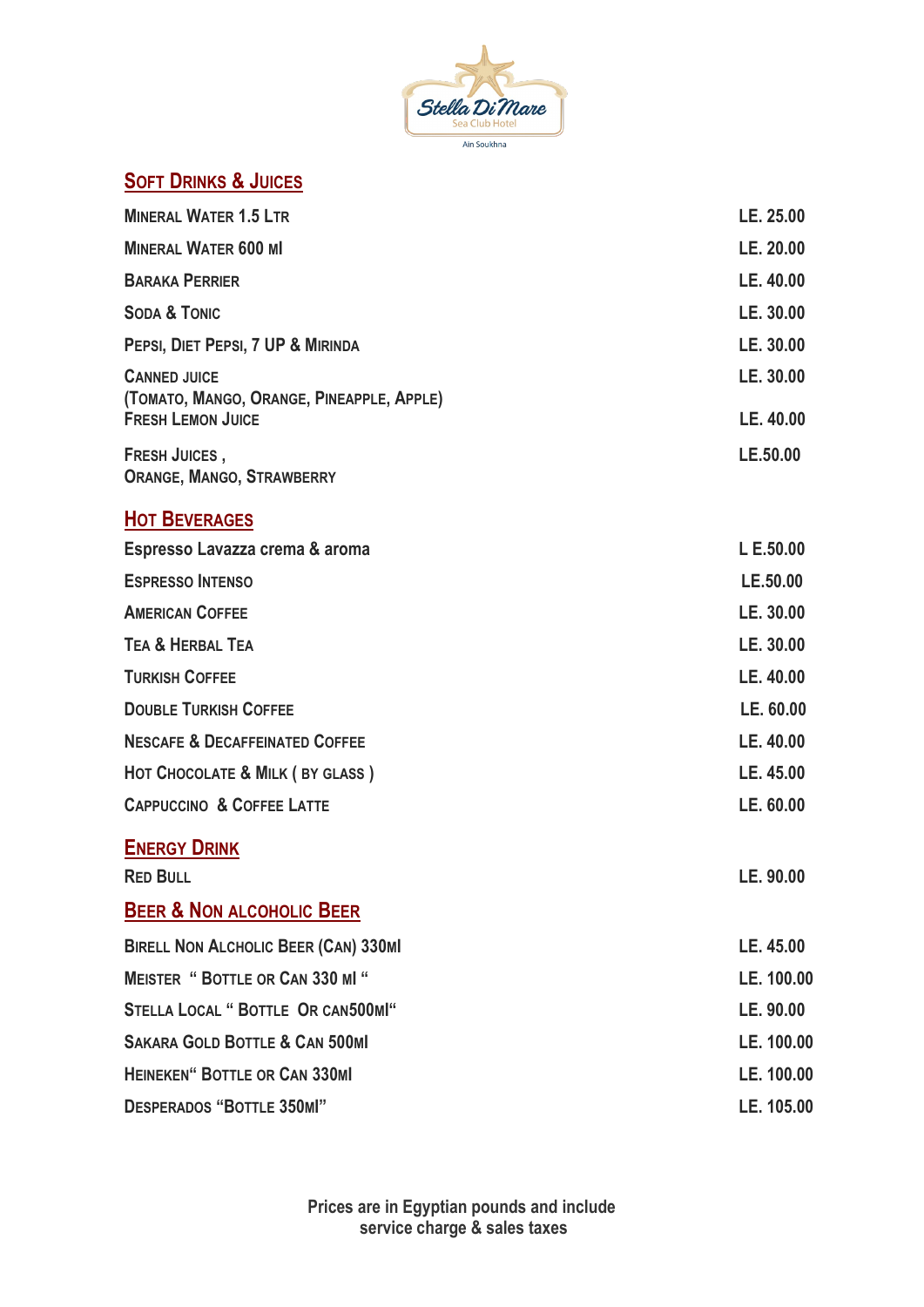

## **SOFT DRINKS & JUICES**

| <b>MINERAL WATER 1.5 LTR</b>                                          | LE. 25.00  |
|-----------------------------------------------------------------------|------------|
| <b>MINERAL WATER 600 MI</b>                                           | LE. 20.00  |
| <b>BARAKA PERRIER</b>                                                 | LE. 40.00  |
| <b>SODA &amp; TONIC</b>                                               | LE. 30.00  |
| PEPSI, DIET PEPSI, 7 UP & MIRINDA                                     | LE. 30.00  |
| <b>CANNED JUICE</b>                                                   | LE. 30.00  |
| (TOMATO, MANGO, ORANGE, PINEAPPLE, APPLE)<br><b>FRESH LEMON JUICE</b> | LE. 40.00  |
| <b>FRESH JUICES,</b><br><b>ORANGE, MANGO, STRAWBERRY</b>              | LE.50.00   |
| <b>HOT BEVERAGES</b>                                                  |            |
| Espresso Lavazza crema & aroma                                        | L E.50.00  |
| <b>ESPRESSO INTENSO</b>                                               | LE.50.00   |
| <b>AMERICAN COFFEE</b>                                                | LE. 30.00  |
| <b>TEA &amp; HERBAL TEA</b>                                           | LE. 30.00  |
| <b>TURKISH COFFEE</b>                                                 | LE. 40.00  |
| <b>DOUBLE TURKISH COFFEE</b>                                          | LE. 60.00  |
| <b>NESCAFE &amp; DECAFFEINATED COFFEE</b>                             | LE. 40.00  |
| HOT CHOCOLATE & MILK (BY GLASS)                                       | LE. 45.00  |
| <b>CAPPUCCINO &amp; COFFEE LATTE</b>                                  | LE. 60.00  |
| <b>ENERGY DRINK</b>                                                   |            |
| <b>RED BULL</b>                                                       | LE. 90.00  |
| <b>BEER &amp; NON ALCOHOLIC BEER</b>                                  |            |
| <b>BIRELL NON ALCHOLIC BEER (CAN) 330MI</b>                           | LE. 45.00  |
| <b>MEISTER " BOTTLE OR CAN 330 MI "</b>                               | LE. 100.00 |
| <b>STELLA LOCAL " BOTTLE OR CAN500MI"</b>                             | LE. 90.00  |
| <b>SAKARA GOLD BOTTLE &amp; CAN 500MI</b>                             | LE. 100.00 |
| <b>HEINEKEN" BOTTLE OR CAN 330MI</b>                                  | LE. 100.00 |
| <b>DESPERADOS "BOTTLE 350MI"</b>                                      | LE. 105.00 |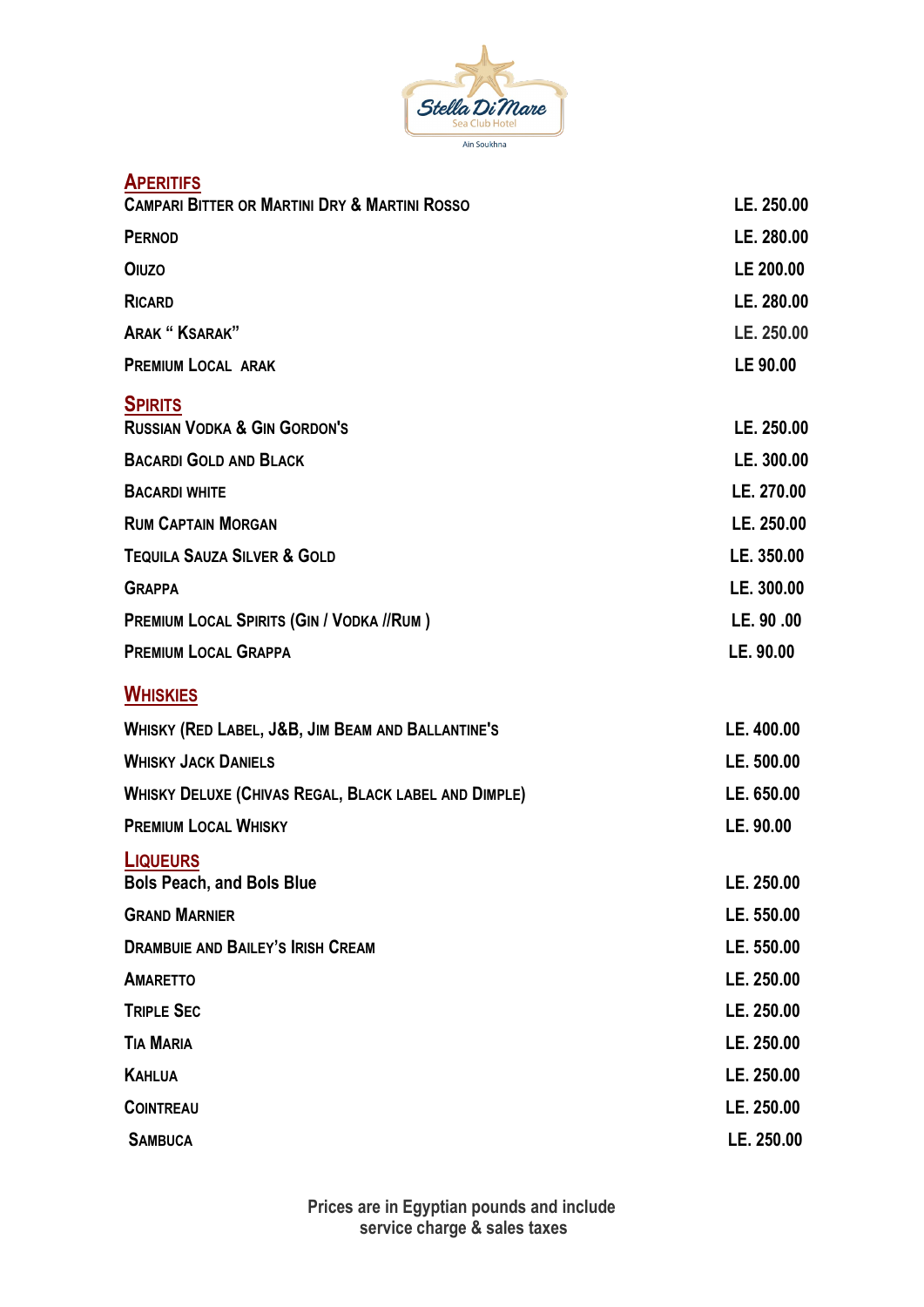

| <b>APERITIFS</b>                                            |            |
|-------------------------------------------------------------|------------|
| <b>CAMPARI BITTER OR MARTINI DRY &amp; MARTINI ROSSO</b>    | LE. 250.00 |
| <b>PERNOD</b>                                               | LE. 280.00 |
| <b>OIUZO</b>                                                | LE 200.00  |
| <b>RICARD</b>                                               | LE. 280.00 |
| <b>ARAK "KSARAK"</b>                                        | LE. 250.00 |
| <b>PREMIUM LOCAL ARAK</b>                                   | LE 90.00   |
| <b>SPIRITS</b><br><b>RUSSIAN VODKA &amp; GIN GORDON'S</b>   | LE. 250.00 |
| <b>BACARDI GOLD AND BLACK</b>                               | LE. 300.00 |
| <b>BACARDI WHITE</b>                                        | LE. 270.00 |
| <b>RUM CAPTAIN MORGAN</b>                                   | LE. 250.00 |
| <b>TEQUILA SAUZA SILVER &amp; GOLD</b>                      | LE. 350.00 |
| <b>GRAPPA</b>                                               | LE. 300.00 |
| <b>PREMIUM LOCAL SPIRITS (GIN / VODKA //RUM)</b>            | LE. 90.00  |
| <b>PREMIUM LOCAL GRAPPA</b>                                 | LE. 90.00  |
| <b>WHISKIES</b>                                             |            |
| WHISKY (RED LABEL, J&B, JIM BEAM AND BALLANTINE'S           | LE. 400.00 |
| <b>WHISKY JACK DANIELS</b>                                  | LE. 500.00 |
| <b>WHISKY DELUXE (CHIVAS REGAL, BLACK LABEL AND DIMPLE)</b> | LE. 650.00 |
| <b>PREMIUM LOCAL WHISKY</b>                                 | LE. 90.00  |
| <b>LIQUEURS</b><br><b>Bols Peach, and Bols Blue</b>         | LE. 250.00 |
| <b>GRAND MARNIER</b>                                        | LE. 550.00 |
| <b>DRAMBUIE AND BAILEY'S IRISH CREAM</b>                    | LE. 550.00 |
| <b>AMARETTO</b>                                             | LE. 250.00 |
| <b>TRIPLE SEC</b>                                           | LE. 250.00 |
| <b>TIA MARIA</b>                                            | LE. 250.00 |
| <b>KAHLUA</b>                                               | LE. 250.00 |
| <b>COINTREAU</b>                                            | LE. 250.00 |
| <b>SAMBUCA</b>                                              | LE. 250.00 |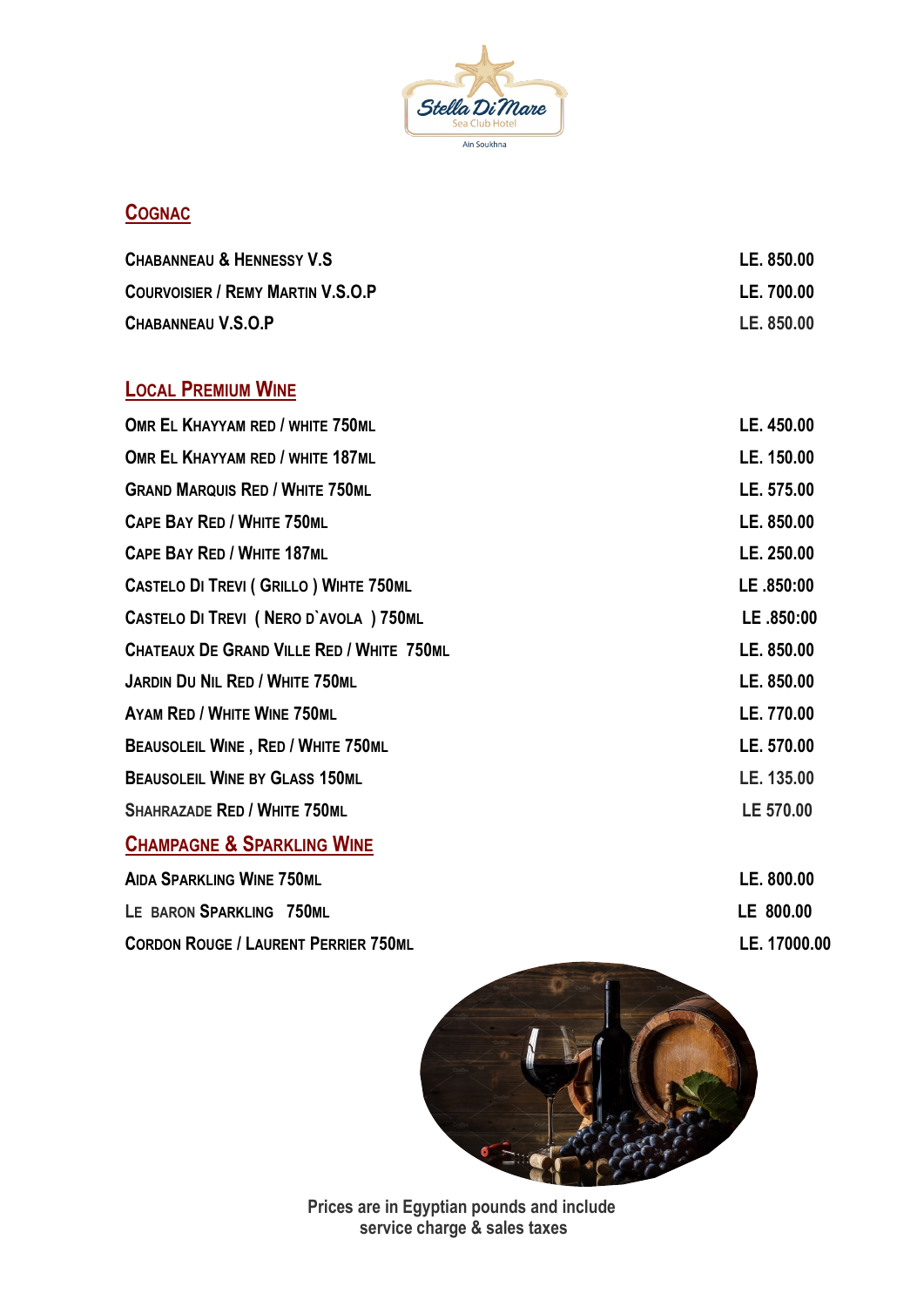

## **COGNAC**

| <b>CHABANNEAU &amp; HENNESSY V.S</b>     | LE. 850.00 |
|------------------------------------------|------------|
| <b>COURVOISIER / REMY MARTIN V.S.O.P</b> | LE. 700.00 |
| CHABANNEAU V.S.O.P                       | LE. 850.00 |

# **LOCAL PREMIUM WINE**

| OMR EL KHAYYAM RED / WHITE 750ML               | LE. 450.00   |
|------------------------------------------------|--------------|
| OMR EL KHAYYAM RED / WHITE 187ML               | LE. 150.00   |
| <b>GRAND MARQUIS RED / WHITE 750ML</b>         | LE. 575.00   |
| <b>CAPE BAY RED / WHITE 750ML</b>              | LE. 850.00   |
| <b>CAPE BAY RED / WHITE 187ML</b>              | LE. 250.00   |
| <b>CASTELO DI TREVI ( GRILLO ) WIHTE 750ML</b> | LE .850:00   |
| CASTELO DI TREVI (NERO D'AVOLA ) 750ML         | LE.850:00    |
| CHATEAUX DE GRAND VILLE RED / WHITE 750ML      | LE. 850.00   |
| <b>JARDIN DU NIL RED / WHITE 750ML</b>         | LE. 850.00   |
| <b>AYAM RED / WHITE WINE 750ML</b>             | LE. 770.00   |
| <b>BEAUSOLEIL WINE, RED / WHITE 750ML</b>      | LE. 570.00   |
| <b>BEAUSOLEIL WINE BY GLASS 150ML</b>          | LE. 135.00   |
| <b>SHAHRAZADE RED / WHITE 750ML</b>            | LE 570.00    |
| <b>CHAMPAGNE &amp; SPARKLING WINE</b>          |              |
| <b>AIDA SPARKLING WINE 750ML</b>               | LE. 800.00   |
| LE BARON SPARKLING 750ML                       | LE 800.00    |
| <b>CORDON ROUGE / LAURENT PERRIER 750ML</b>    | LE. 17000.00 |
|                                                |              |



**Prices are in Egyptian pounds and include service charge & sales taxes**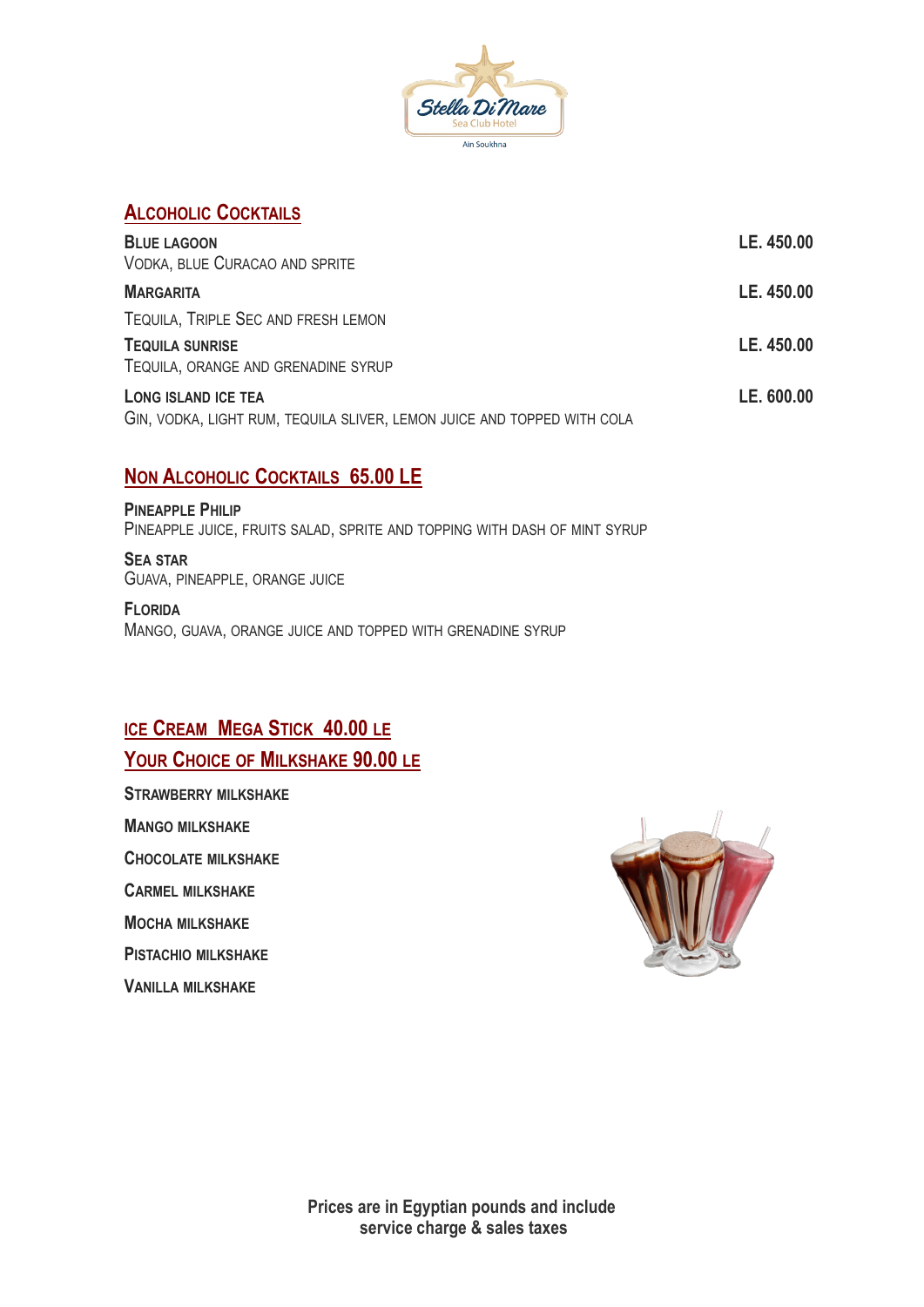

#### **ALCOHOLIC COCKTAILS**

| <b>BLUE LAGOON</b><br>VODKA, BLUE CURACAO AND SPRITE                                           | LE. 450.00 |
|------------------------------------------------------------------------------------------------|------------|
| <b>MARGARITA</b>                                                                               | LE. 450.00 |
| TEQUILA, TRIPLE SEC AND FRESH LEMON                                                            |            |
| <b>TEQUILA SUNRISE</b>                                                                         | LE. 450.00 |
| TEQUILA, ORANGE AND GRENADINE SYRUP                                                            |            |
| LONG ISLAND ICE TEA<br>GIN, VODKA, LIGHT RUM, TEQUILA SLIVER, LEMON JUICE AND TOPPED WITH COLA | LE. 600.00 |

#### **NON ALCOHOLIC COCKTAILS 65.00 LE**

**PINEAPPLE PHILIP** PINEAPPLE JUICE, FRUITS SALAD, SPRITE AND TOPPING WITH DASH OF MINT SYRUP

**SEA STAR** GUAVA, PINEAPPLE, ORANGE JUICE

**FLORIDA** MANGO, GUAVA, ORANGE JUICE AND TOPPED WITH GRENADINE SYRUP

#### **ICE CREAM MEGA STICK 40.00 LE**

#### **YOUR CHOICE OF MILKSHAKE 90.00 LE**

**STRAWBERRY MILKSHAKE MANGO MILKSHAKE CHOCOLATE MILKSHAKE**

**CARMEL MILKSHAKE**

**MOCHA MILKSHAKE**

**PISTACHIO MILKSHAKE**

**VANILLA MILKSHAKE** 

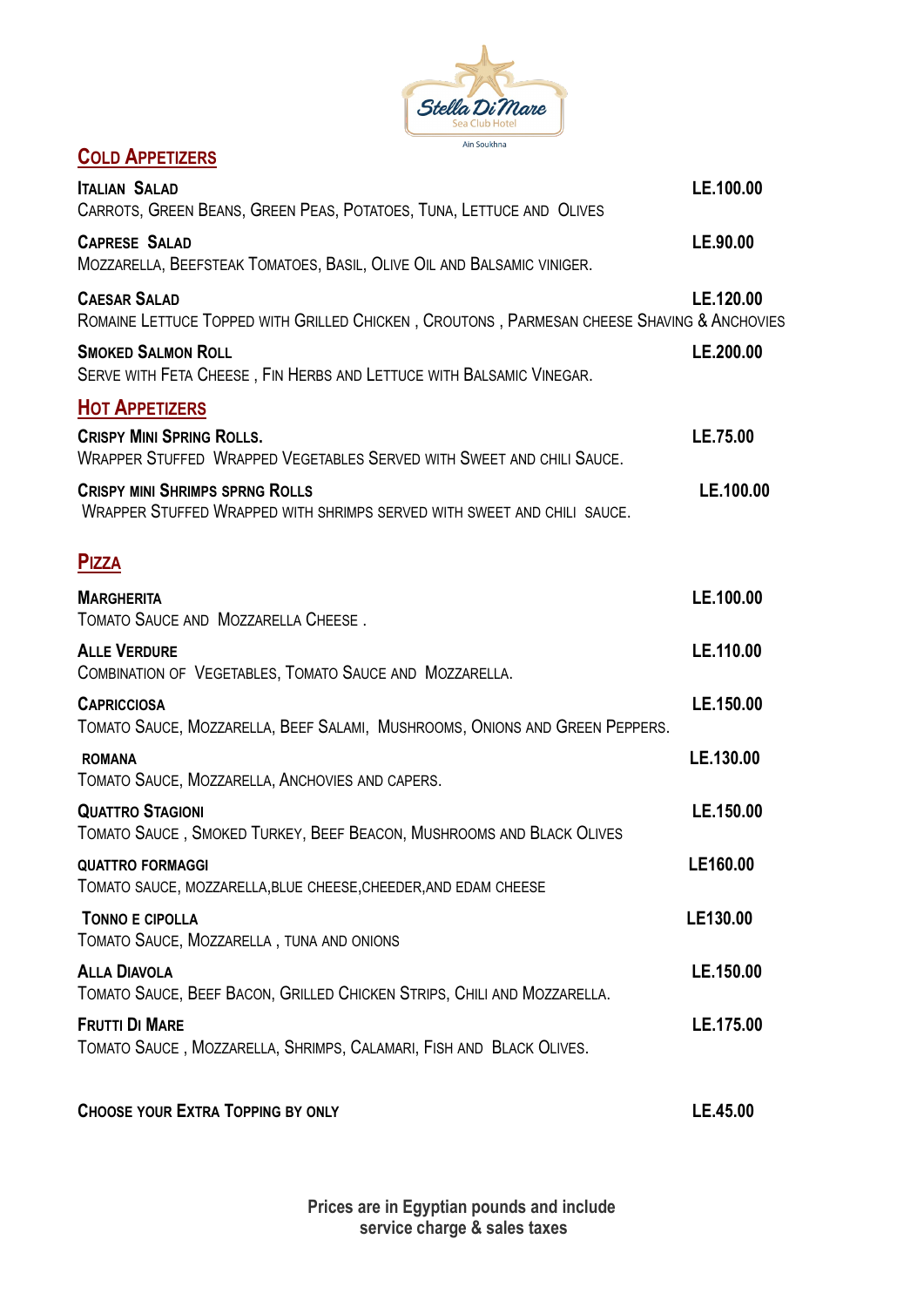

### **COLD APPETIZERS**

| <b>ITALIAN SALAD</b><br>CARROTS, GREEN BEANS, GREEN PEAS, POTATOES, TUNA, LETTUCE AND OLIVES                      | LE.100.00 |
|-------------------------------------------------------------------------------------------------------------------|-----------|
| <b>CAPRESE SALAD</b><br>MOZZARELLA, BEEFSTEAK TOMATOES, BASIL, OLIVE OIL AND BALSAMIC VINIGER.                    | LE.90.00  |
| <b>CAESAR SALAD</b><br>ROMAINE LETTUCE TOPPED WITH GRILLED CHICKEN, CROUTONS, PARMESAN CHEESE SHAVING & ANCHOVIES | LE.120.00 |
| <b>SMOKED SALMON ROLL</b><br>SERVE WITH FETA CHEESE, FIN HERBS AND LETTUCE WITH BALSAMIC VINEGAR.                 | LE.200.00 |
| <b>HOT APPETIZERS</b>                                                                                             |           |
| <b>CRISPY MINI SPRING ROLLS.</b><br>WRAPPER STUFFED WRAPPED VEGETABLES SERVED WITH SWEET AND CHILI SAUCE.         | LE.75.00  |
| <b>CRISPY MINI SHRIMPS SPRNG ROLLS</b><br>WRAPPER STUFFED WRAPPED WITH SHRIMPS SERVED WITH SWEET AND CHILI SAUCE. | LE.100.00 |
| <b>PIZZA</b>                                                                                                      |           |
| <b>MARGHERITA</b><br>TOMATO SAUCE AND MOZZARELLA CHEESE.                                                          | LE.100.00 |
| <b>ALLE VERDURE</b><br>COMBINATION OF VEGETABLES, TOMATO SAUCE AND MOZZARELLA.                                    | LE.110.00 |
| <b>CAPRICCIOSA</b><br>TOMATO SAUCE, MOZZARELLA, BEEF SALAMI, MUSHROOMS, ONIONS AND GREEN PEPPERS.                 | LE.150.00 |
| <b>ROMANA</b><br>TOMATO SAUCE, MOZZARELLA, ANCHOVIES AND CAPERS.                                                  | LE.130.00 |
| <b>QUATTRO STAGIONI</b><br>TOMATO SAUCE, SMOKED TURKEY, BEEF BEACON, MUSHROOMS AND BLACK OLIVES                   | LE.150.00 |
| <b>QUATTRO FORMAGGI</b><br>TOMATO SAUCE, MOZZARELLA, BLUE CHEESE, CHEEDER, AND EDAM CHEESE                        | LE160.00  |
| <b>TONNO E CIPOLLA</b><br>TOMATO SAUCE, MOZZARELLA, TUNA AND ONIONS                                               | LE130.00  |
| <b>ALLA DIAVOLA</b><br>TOMATO SAUCE, BEEF BACON, GRILLED CHICKEN STRIPS, CHILI AND MOZZARELLA.                    | LE.150.00 |
| <b>FRUTTI DI MARE</b><br>TOMATO SAUCE, MOZZARELLA, SHRIMPS, CALAMARI, FISH AND BLACK OLIVES.                      | LE.175.00 |
| <b>CHOOSE YOUR EXTRA TOPPING BY ONLY</b>                                                                          | LE.45.00  |

**Prices are in Egyptian pounds and include service charge & sales taxes**